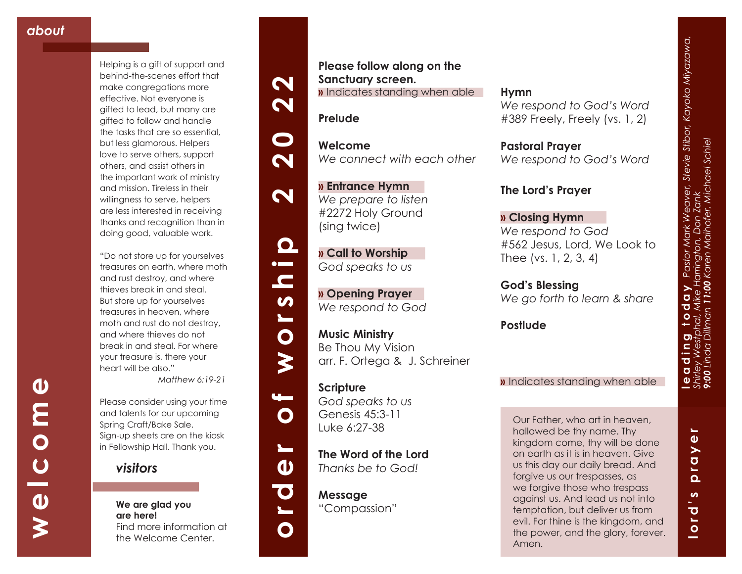Helping is a gift of support and behind-the-scenes effort that make congregations more effective. Not everyone is gifted to lead, but many are gifted to follow and handle the tasks that are so essential, but less glamorous. Helpers love to serve others, support others, and assist others in the important work of ministry and mission. Tireless in their willingness to serve, helpers are less interested in receiving thanks and recognition than in doing good, valuable work.

"Do not store up for yourselves treasures on earth, where moth and rust destroy, and where thieves break in and steal. But store up for yourselves treasures in heaven, where moth and rust do not destroy, and where thieves do not break in and steal. For where your treasure is, there your heart will be also." *Matthew 6:19-21*

Please consider using your time and talents for our upcoming Spring Craft/Bake Sale. Sign-up sheets are on the kiosk in Fellowship Hall. Thank you.

*visitors*

**We are glad you are here!** Find more information at the Welcome Center.

### **Please follow along on the Sanctuary screen. »** Indicates standing when able

**Prelude**

**Welcome** *We connect with each other*

**» Entrance Hymn**  *We prepare to listen* #2272 Holy Ground (sing twice)

**» Call to Worship**  *God speaks to us*

**» Opening Prayer**  *We respond to God*

**order of worship 2 20 22**

 $\bullet$ 

 $\blacktriangleright$ 

 $\mathbf O$ 

d

 $\bullet$ 

 $\overline{\phantom{0}}$ 

 $\mathbf O$ 

 $\boldsymbol{\omega}$  $\blacksquare$ 

 $\boldsymbol{\mathsf{N}}$ 

 $\boldsymbol{\mathsf{N}}$ 

 $\mathbf{\Omega}$ 

 $\overline{\mathbf{N}}$ 

 $\mathbf N$ 

 $\mathbf{\Omega}$ 

 $\bullet$   $\blacksquare$ 

> **Music Ministry**  Be Thou My Vision arr. F. Ortega & J. Schreiner

**Scripture** *God speaks to us* Genesis 45:3-11 Luke 6:27-38

**The Word of the Lord**  *Thanks be to God!*

**Message** "Compassion"

### **Hymn**

*We respond to God's Word*  #389 Freely, Freely (vs. 1, 2)

**Pastoral Prayer** *We respond to God's Word*

### **The Lord's Prayer**

**» Closing Hymn** *We respond to God* #562 Jesus, Lord, We Look to Thee (vs. 1, 2, 3, 4)

**God's Blessing** *We go forth to learn & share*

**Postlude**

### **»** Indicates standing when able

Our Father, who art in heaven, hallowed be thy name. Thy kingdom come, thy will be done on earth as it is in heaven. Give us this day our daily bread. And forgive us our trespasses, as we forgive those who trespass against us. And lead us not into temptation, but deliver us from evil. For thine is the kingdom, and the power, and the glory, forever. Amen.

**lord's prayer**

**in** 

 $\overline{\mathbf{o}}$  $\overline{a}$ 

드  $\overline{\mathbf{a}}$ 

 $\boldsymbol{\omega}$  $\overline{a}$